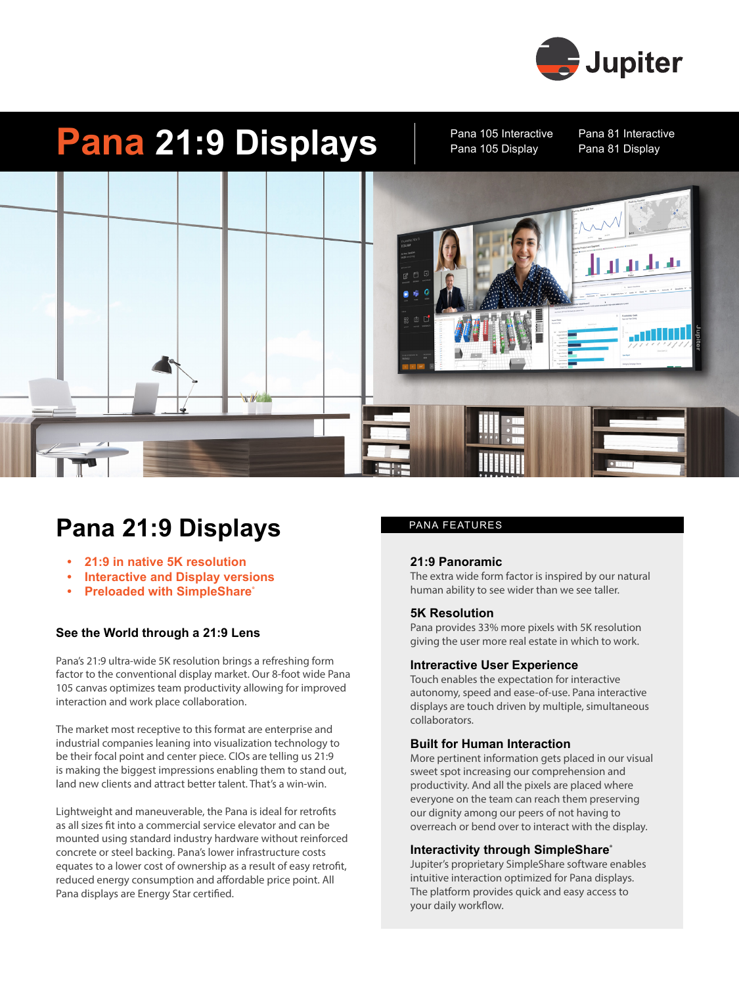

# **Pana 21:9 Displays** Pana 105 Interactive Pana 81 Interactive

Pana 105 Interactive Pana 105 Display



### **Pana 21:9 Displays** PANA FEATURES

- **• 21:9 in native 5K resolution**
- **• Interactive and Display versions**
- **Preloaded with SimpleShare®**

### **See the World through a 21:9 Lens**

Pana's 21:9 ultra-wide 5K resolution brings a refreshing form factor to the conventional display market. Our 8-foot wide Pana 105 canvas optimizes team productivity allowing for improved interaction and work place collaboration.

The market most receptive to this format are enterprise and industrial companies leaning into visualization technology to be their focal point and center piece. CIOs are telling us 21:9 is making the biggest impressions enabling them to stand out, land new clients and attract better talent. That's a win-win.

Lightweight and maneuverable, the Pana is ideal for retrofits as all sizes fit into a commercial service elevator and can be mounted using standard industry hardware without reinforced concrete or steel backing. Pana's lower infrastructure costs equates to a lower cost of ownership as a result of easy retrofit, reduced energy consumption and affordable price point. All Pana displays are Energy Star certified.

#### **21:9 Panoramic**

The extra wide form factor is inspired by our natural human ability to see wider than we see taller.

#### **5K Resolution**

Pana provides 33% more pixels with 5K resolution giving the user more real estate in which to work.

#### **Intreractive User Experience**

Touch enables the expectation for interactive autonomy, speed and ease-of-use. Pana interactive displays are touch driven by multiple, simultaneous collaborators.

#### **Built for Human Interaction**

More pertinent information gets placed in our visual sweet spot increasing our comprehension and productivity. And all the pixels are placed where everyone on the team can reach them preserving our dignity among our peers of not having to overreach or bend over to interact with the display.

#### **Interactivity through SimpleShare**®

Jupiter's proprietary SimpleShare software enables intuitive interaction optimized for Pana displays. The platform provides quick and easy access to your daily workflow.